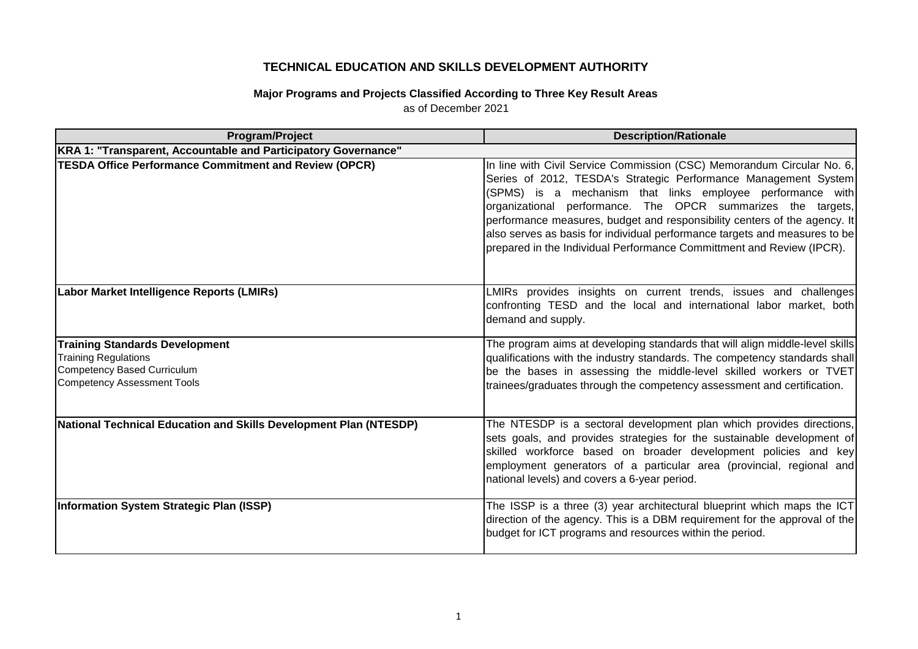## **TECHNICAL EDUCATION AND SKILLS DEVELOPMENT AUTHORITY**

## **Major Programs and Projects Classified According to Three Key Result Areas** as of December 2021

| Program/Project                                                                                                                                  | <b>Description/Rationale</b>                                                                                                                                                                                                                                                                                                                                                                                                                                                                                |
|--------------------------------------------------------------------------------------------------------------------------------------------------|-------------------------------------------------------------------------------------------------------------------------------------------------------------------------------------------------------------------------------------------------------------------------------------------------------------------------------------------------------------------------------------------------------------------------------------------------------------------------------------------------------------|
| KRA 1: "Transparent, Accountable and Participatory Governance"                                                                                   |                                                                                                                                                                                                                                                                                                                                                                                                                                                                                                             |
| <b>TESDA Office Performance Commitment and Review (OPCR)</b>                                                                                     | In line with Civil Service Commission (CSC) Memorandum Circular No. 6,<br>Series of 2012, TESDA's Strategic Performance Management System<br>(SPMS) is a mechanism that links employee performance with<br>organizational performance. The OPCR summarizes the targets,<br>performance measures, budget and responsibility centers of the agency. It<br>also serves as basis for individual performance targets and measures to be<br>prepared in the Individual Performance Committment and Review (IPCR). |
| Labor Market Intelligence Reports (LMIRs)                                                                                                        | LMIRs provides insights on current trends, issues and challenges<br>confronting TESD and the local and international labor market, both<br>demand and supply.                                                                                                                                                                                                                                                                                                                                               |
| <b>Training Standards Development</b><br><b>Training Regulations</b><br><b>Competency Based Curriculum</b><br><b>Competency Assessment Tools</b> | The program aims at developing standards that will align middle-level skills<br>qualifications with the industry standards. The competency standards shall<br>be the bases in assessing the middle-level skilled workers or TVET<br>trainees/graduates through the competency assessment and certification.                                                                                                                                                                                                 |
| National Technical Education and Skills Development Plan (NTESDP)                                                                                | The NTESDP is a sectoral development plan which provides directions,<br>sets goals, and provides strategies for the sustainable development of<br>skilled workforce based on broader development policies and key<br>employment generators of a particular area (provincial, regional and<br>national levels) and covers a 6-year period.                                                                                                                                                                   |
| Information System Strategic Plan (ISSP)                                                                                                         | The ISSP is a three (3) year architectural blueprint which maps the ICT<br>direction of the agency. This is a DBM requirement for the approval of the<br>budget for ICT programs and resources within the period.                                                                                                                                                                                                                                                                                           |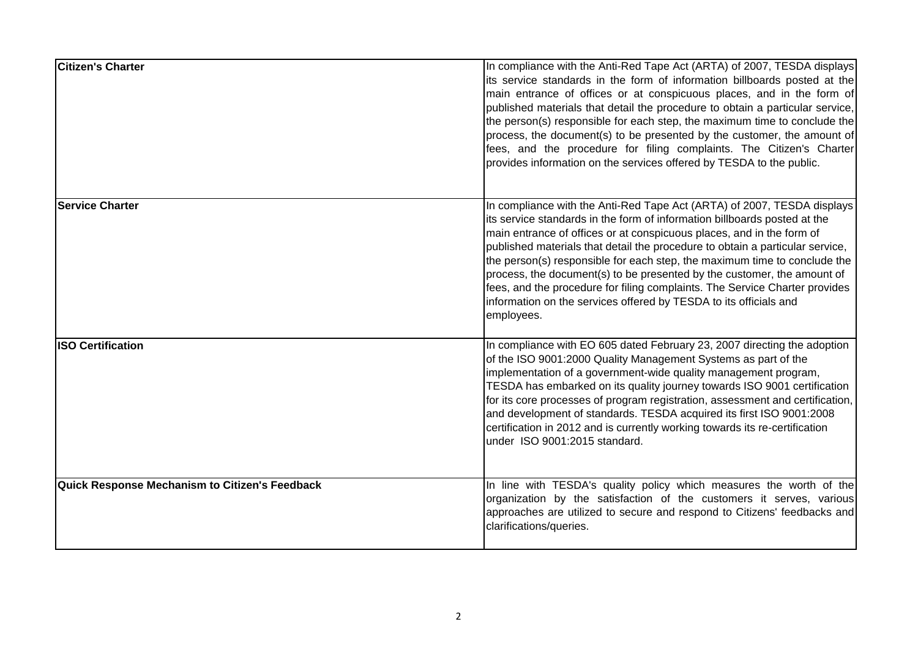| <b>Citizen's Charter</b>                       | In compliance with the Anti-Red Tape Act (ARTA) of 2007, TESDA displays<br>its service standards in the form of information billboards posted at the<br>main entrance of offices or at conspicuous places, and in the form of<br>published materials that detail the procedure to obtain a particular service,<br>the person(s) responsible for each step, the maximum time to conclude the<br>process, the document(s) to be presented by the customer, the amount of<br>fees, and the procedure for filing complaints. The Citizen's Charter<br>provides information on the services offered by TESDA to the public.                   |
|------------------------------------------------|------------------------------------------------------------------------------------------------------------------------------------------------------------------------------------------------------------------------------------------------------------------------------------------------------------------------------------------------------------------------------------------------------------------------------------------------------------------------------------------------------------------------------------------------------------------------------------------------------------------------------------------|
| <b>Service Charter</b>                         | In compliance with the Anti-Red Tape Act (ARTA) of 2007, TESDA displays<br>its service standards in the form of information billboards posted at the<br>main entrance of offices or at conspicuous places, and in the form of<br>published materials that detail the procedure to obtain a particular service,<br>the person(s) responsible for each step, the maximum time to conclude the<br>process, the document(s) to be presented by the customer, the amount of<br>fees, and the procedure for filing complaints. The Service Charter provides<br>information on the services offered by TESDA to its officials and<br>employees. |
| <b>ISO Certification</b>                       | In compliance with EO 605 dated February 23, 2007 directing the adoption<br>of the ISO 9001:2000 Quality Management Systems as part of the<br>implementation of a government-wide quality management program,<br>TESDA has embarked on its quality journey towards ISO 9001 certification<br>for its core processes of program registration, assessment and certification,<br>and development of standards. TESDA acquired its first ISO 9001:2008<br>certification in 2012 and is currently working towards its re-certification<br>under ISO 9001:2015 standard.                                                                       |
| Quick Response Mechanism to Citizen's Feedback | In line with TESDA's quality policy which measures the worth of the<br>organization by the satisfaction of the customers it serves, various<br>approaches are utilized to secure and respond to Citizens' feedbacks and<br>clarifications/queries.                                                                                                                                                                                                                                                                                                                                                                                       |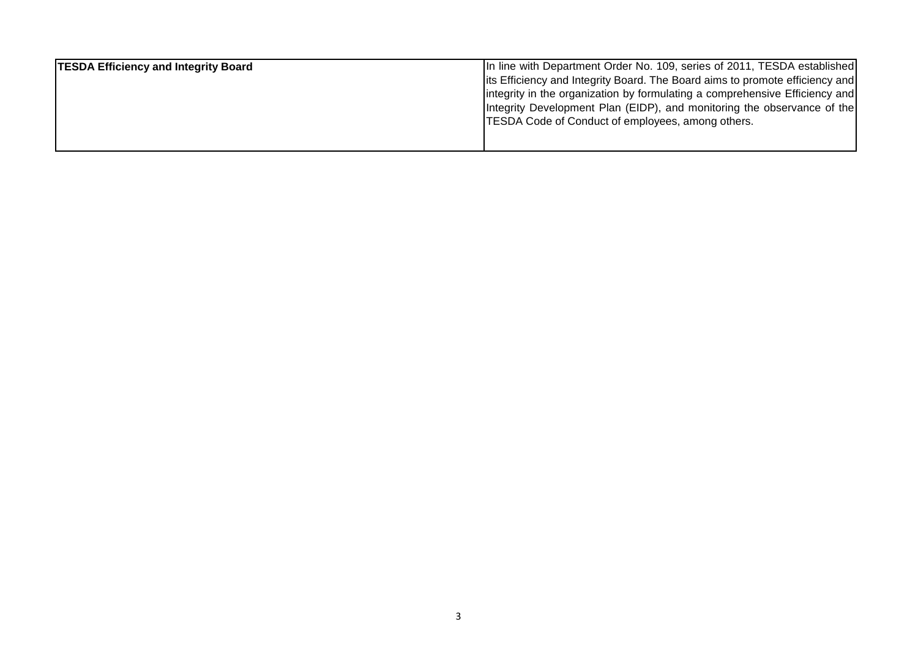| <b>TESDA Efficiency and Integrity Board</b> | In line with Department Order No. 109, series of 2011, TESDA established      |
|---------------------------------------------|-------------------------------------------------------------------------------|
|                                             | lits Efficiency and Integrity Board. The Board aims to promote efficiency and |
|                                             | lintegrity in the organization by formulating a comprehensive Efficiency and  |
|                                             | Integrity Development Plan (EIDP), and monitoring the observance of the       |
|                                             | <b>TESDA Code of Conduct of employees, among others.</b>                      |
|                                             |                                                                               |
|                                             |                                                                               |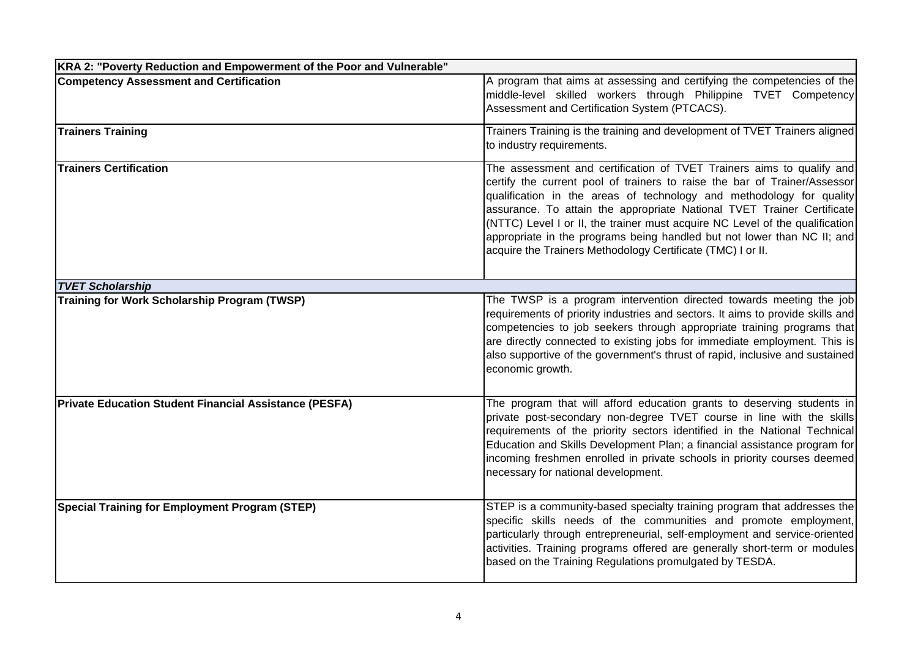| KRA 2: "Poverty Reduction and Empowerment of the Poor and Vulnerable" |                                                                                                                                                                                                                                                                                                                                                                                                                                                                                                                                |
|-----------------------------------------------------------------------|--------------------------------------------------------------------------------------------------------------------------------------------------------------------------------------------------------------------------------------------------------------------------------------------------------------------------------------------------------------------------------------------------------------------------------------------------------------------------------------------------------------------------------|
| <b>Competency Assessment and Certification</b>                        | A program that aims at assessing and certifying the competencies of the<br>middle-level skilled workers through Philippine TVET Competency<br>Assessment and Certification System (PTCACS).                                                                                                                                                                                                                                                                                                                                    |
| <b>Trainers Training</b>                                              | Trainers Training is the training and development of TVET Trainers aligned<br>to industry requirements.                                                                                                                                                                                                                                                                                                                                                                                                                        |
| <b>Trainers Certification</b>                                         | The assessment and certification of TVET Trainers aims to qualify and<br>certify the current pool of trainers to raise the bar of Trainer/Assessor<br>qualification in the areas of technology and methodology for quality<br>assurance. To attain the appropriate National TVET Trainer Certificate<br>(NTTC) Level I or II, the trainer must acquire NC Level of the qualification<br>appropriate in the programs being handled but not lower than NC II; and<br>acquire the Trainers Methodology Certificate (TMC) I or II. |
| <b>TVET Scholarship</b>                                               |                                                                                                                                                                                                                                                                                                                                                                                                                                                                                                                                |
| <b>Training for Work Scholarship Program (TWSP)</b>                   | The TWSP is a program intervention directed towards meeting the job<br>requirements of priority industries and sectors. It aims to provide skills and<br>competencies to job seekers through appropriate training programs that<br>are directly connected to existing jobs for immediate employment. This is<br>also supportive of the government's thrust of rapid, inclusive and sustained<br>economic growth.                                                                                                               |
| <b>Private Education Student Financial Assistance (PESFA)</b>         | The program that will afford education grants to deserving students in<br>private post-secondary non-degree TVET course in line with the skills<br>requirements of the priority sectors identified in the National Technical<br>Education and Skills Development Plan; a financial assistance program for<br>incoming freshmen enrolled in private schools in priority courses deemed<br>necessary for national development.                                                                                                   |
| <b>Special Training for Employment Program (STEP)</b>                 | STEP is a community-based specialty training program that addresses the<br>specific skills needs of the communities and promote employment,<br>particularly through entrepreneurial, self-employment and service-oriented<br>activities. Training programs offered are generally short-term or modules<br>based on the Training Regulations promulgated by TESDA.                                                                                                                                                              |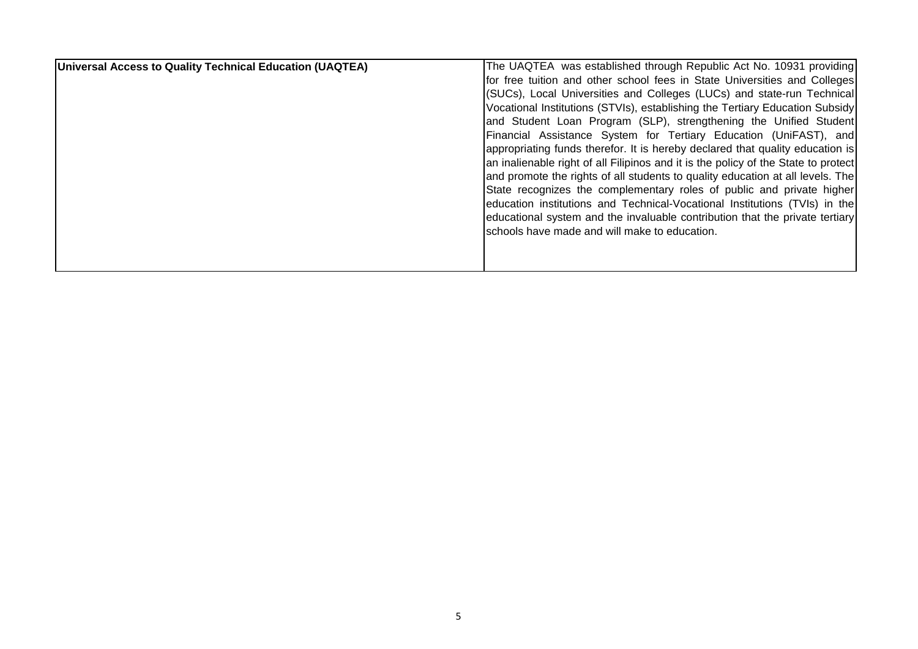| Universal Access to Quality Technical Education (UAQTEA) | The UAQTEA was established through Republic Act No. 10931 providing                |
|----------------------------------------------------------|------------------------------------------------------------------------------------|
|                                                          | for free tuition and other school fees in State Universities and Colleges          |
|                                                          | (SUCs), Local Universities and Colleges (LUCs) and state-run Technical             |
|                                                          | Vocational Institutions (STVIs), establishing the Tertiary Education Subsidy       |
|                                                          | and Student Loan Program (SLP), strengthening the Unified Student                  |
|                                                          | Financial Assistance System for Tertiary Education (UniFAST), and                  |
|                                                          | appropriating funds therefor. It is hereby declared that quality education is      |
|                                                          | an inalienable right of all Filipinos and it is the policy of the State to protect |
|                                                          | and promote the rights of all students to quality education at all levels. The     |
|                                                          | State recognizes the complementary roles of public and private higher              |
|                                                          | education institutions and Technical-Vocational Institutions (TVIs) in the         |
|                                                          | educational system and the invaluable contribution that the private tertiary       |
|                                                          | schools have made and will make to education.                                      |
|                                                          |                                                                                    |
|                                                          |                                                                                    |
|                                                          |                                                                                    |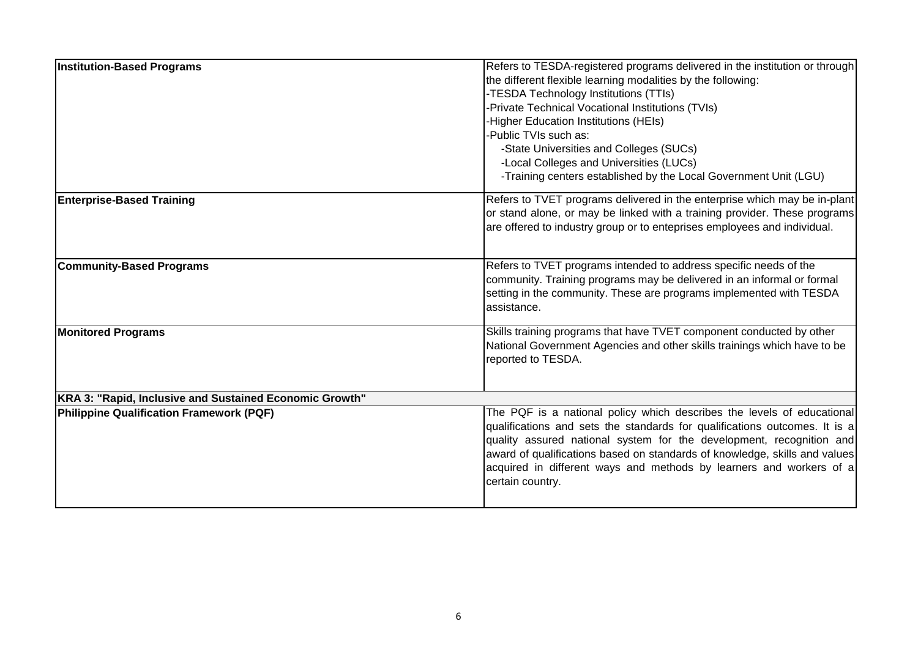| <b>Institution-Based Programs</b>                       | Refers to TESDA-registered programs delivered in the institution or through<br>the different flexible learning modalities by the following:<br>-TESDA Technology Institutions (TTIs)<br>-Private Technical Vocational Institutions (TVIs)<br>-Higher Education Institutions (HEIs)<br>-Public TVIs such as:<br>-State Universities and Colleges (SUCs)<br>-Local Colleges and Universities (LUCs)     |  |
|---------------------------------------------------------|-------------------------------------------------------------------------------------------------------------------------------------------------------------------------------------------------------------------------------------------------------------------------------------------------------------------------------------------------------------------------------------------------------|--|
| <b>Enterprise-Based Training</b>                        | -Training centers established by the Local Government Unit (LGU)<br>Refers to TVET programs delivered in the enterprise which may be in-plant<br>or stand alone, or may be linked with a training provider. These programs<br>are offered to industry group or to enteprises employees and individual.                                                                                                |  |
| <b>Community-Based Programs</b>                         | Refers to TVET programs intended to address specific needs of the<br>community. Training programs may be delivered in an informal or formal<br>setting in the community. These are programs implemented with TESDA<br>assistance.                                                                                                                                                                     |  |
| <b>Monitored Programs</b>                               | Skills training programs that have TVET component conducted by other<br>National Government Agencies and other skills trainings which have to be<br>reported to TESDA.                                                                                                                                                                                                                                |  |
| KRA 3: "Rapid, Inclusive and Sustained Economic Growth" |                                                                                                                                                                                                                                                                                                                                                                                                       |  |
| <b>Philippine Qualification Framework (PQF)</b>         | The PQF is a national policy which describes the levels of educational<br>qualifications and sets the standards for qualifications outcomes. It is a<br>quality assured national system for the development, recognition and<br>award of qualifications based on standards of knowledge, skills and values<br>acquired in different ways and methods by learners and workers of a<br>certain country. |  |